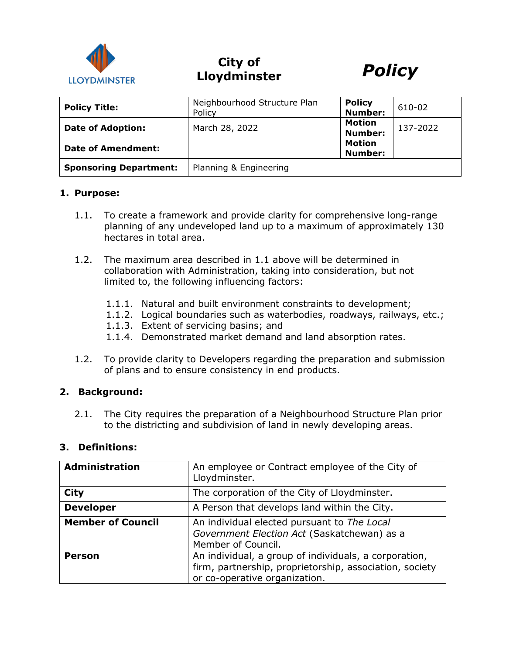

# **City of Lloydminster** *Policy*



| <b>Policy Title:</b>          | Neighbourhood Structure Plan<br>Policy | <b>Policy</b><br><b>Number:</b> | 610-02   |
|-------------------------------|----------------------------------------|---------------------------------|----------|
| <b>Date of Adoption:</b>      | March 28, 2022                         | <b>Motion</b><br><b>Number:</b> | 137-2022 |
| <b>Date of Amendment:</b>     |                                        | <b>Motion</b><br><b>Number:</b> |          |
| <b>Sponsoring Department:</b> | Planning & Engineering                 |                                 |          |

#### **1. Purpose:**

- 1.1. To create a framework and provide clarity for comprehensive long-range planning of any undeveloped land up to a maximum of approximately 130 hectares in total area.
- 1.2. The maximum area described in 1.1 above will be determined in collaboration with Administration, taking into consideration, but not limited to, the following influencing factors:
	- 1.1.1. Natural and built environment constraints to development;
	- 1.1.2. Logical boundaries such as waterbodies, roadways, railways, etc.;
	- 1.1.3. Extent of servicing basins; and
	- 1.1.4. Demonstrated market demand and land absorption rates.
- 1.2. To provide clarity to Developers regarding the preparation and submission of plans and to ensure consistency in end products.

## **2. Background:**

2.1. The City requires the preparation of a Neighbourhood Structure Plan prior to the districting and subdivision of land in newly developing areas.

## **3. Definitions:**

| <b>Administration</b>    | An employee or Contract employee of the City of<br>Lloydminster.                                                                                  |  |
|--------------------------|---------------------------------------------------------------------------------------------------------------------------------------------------|--|
| <b>City</b>              | The corporation of the City of Lloydminster.                                                                                                      |  |
| <b>Developer</b>         | A Person that develops land within the City.                                                                                                      |  |
| <b>Member of Council</b> | An individual elected pursuant to The Local<br>Government Election Act (Saskatchewan) as a<br>Member of Council.                                  |  |
| <b>Person</b>            | An individual, a group of individuals, a corporation,<br>firm, partnership, proprietorship, association, society<br>or co-operative organization. |  |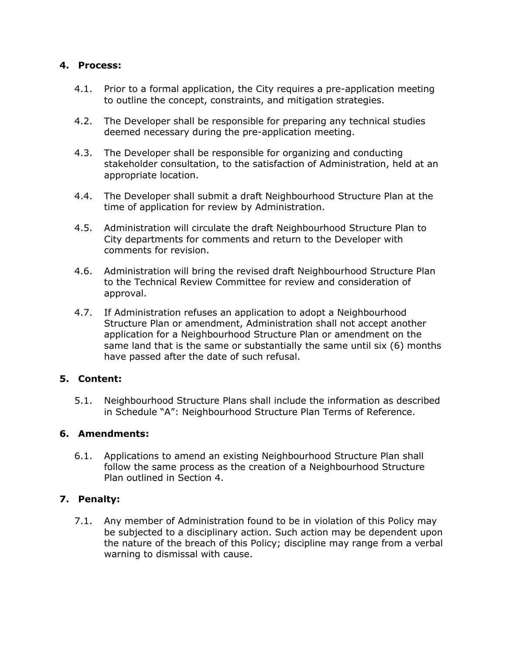# **4. Process:**

- 4.1. Prior to a formal application, the City requires a pre-application meeting to outline the concept, constraints, and mitigation strategies.
- 4.2. The Developer shall be responsible for preparing any technical studies deemed necessary during the pre-application meeting.
- 4.3. The Developer shall be responsible for organizing and conducting stakeholder consultation, to the satisfaction of Administration, held at an appropriate location.
- 4.4. The Developer shall submit a draft Neighbourhood Structure Plan at the time of application for review by Administration.
- 4.5. Administration will circulate the draft Neighbourhood Structure Plan to City departments for comments and return to the Developer with comments for revision.
- 4.6. Administration will bring the revised draft Neighbourhood Structure Plan to the Technical Review Committee for review and consideration of approval.
- 4.7. If Administration refuses an application to adopt a Neighbourhood Structure Plan or amendment, Administration shall not accept another application for a Neighbourhood Structure Plan or amendment on the same land that is the same or substantially the same until six (6) months have passed after the date of such refusal.

## **5. Content:**

5.1. Neighbourhood Structure Plans shall include the information as described in Schedule "A": Neighbourhood Structure Plan Terms of Reference.

## **6. Amendments:**

6.1. Applications to amend an existing Neighbourhood Structure Plan shall follow the same process as the creation of a Neighbourhood Structure Plan outlined in Section 4.

## **7. Penalty:**

7.1. Any member of Administration found to be in violation of this Policy may be subjected to a disciplinary action. Such action may be dependent upon the nature of the breach of this Policy; discipline may range from a verbal warning to dismissal with cause.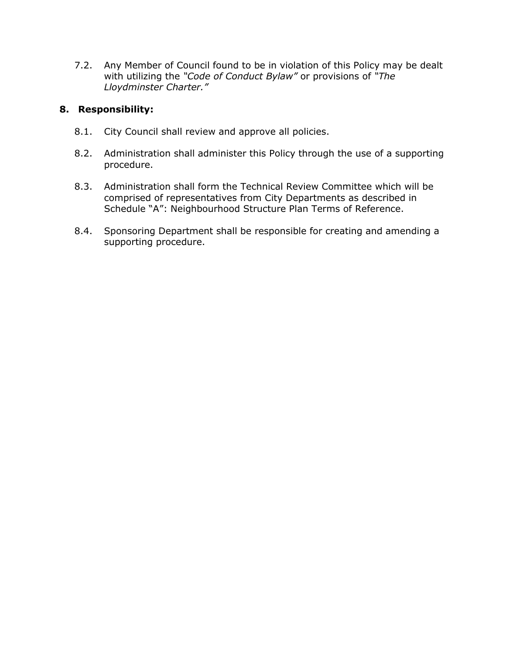7.2. Any Member of Council found to be in violation of this Policy may be dealt with utilizing the *"Code of Conduct Bylaw"* or provisions of *"The Lloydminster Charter."*

# **8. Responsibility:**

- 8.1. City Council shall review and approve all policies.
- 8.2. Administration shall administer this Policy through the use of a supporting procedure.
- 8.3. Administration shall form the Technical Review Committee which will be comprised of representatives from City Departments as described in Schedule "A": Neighbourhood Structure Plan Terms of Reference.
- 8.4. Sponsoring Department shall be responsible for creating and amending a supporting procedure.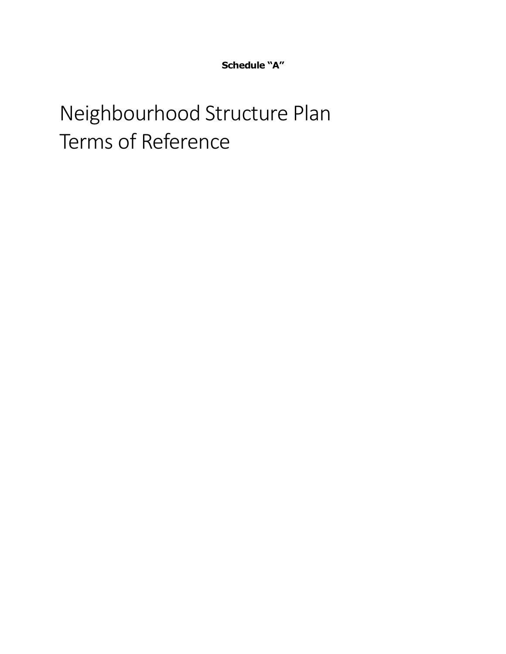**Schedule "A"**

# Neighbourhood Structure Plan Terms of Reference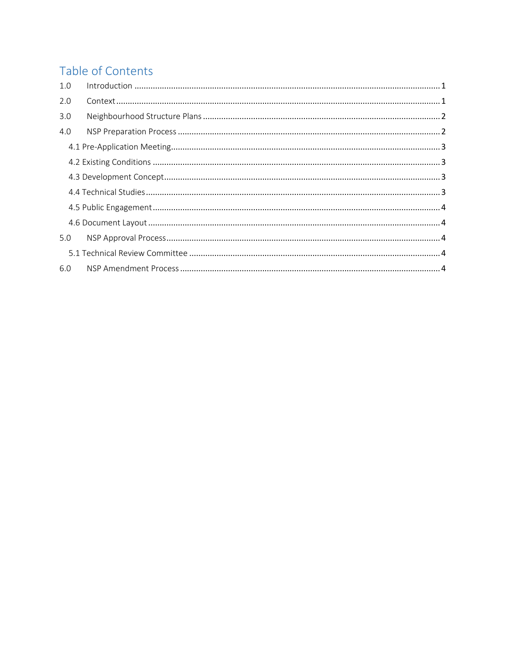# Table of Contents

| 1.0 |  |
|-----|--|
| 2.0 |  |
| 3.0 |  |
| 4.0 |  |
|     |  |
|     |  |
|     |  |
|     |  |
|     |  |
|     |  |
| 5.0 |  |
|     |  |
| 6.0 |  |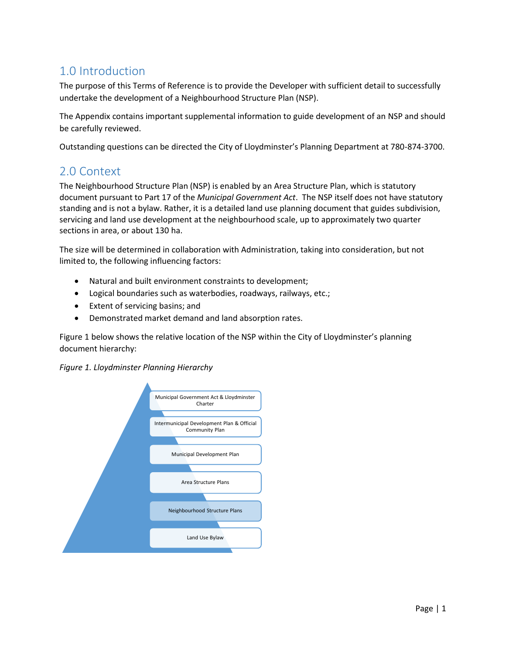# <span id="page-5-0"></span>1.0 Introduction

The purpose of this Terms of Reference is to provide the Developer with sufficient detail to successfully undertake the development of a Neighbourhood Structure Plan (NSP).

The Appendix contains important supplemental information to guide development of an NSP and should be carefully reviewed.

Outstanding questions can be directed the City of Lloydminster's Planning Department at 780-874-3700.

# <span id="page-5-1"></span>2.0 Context

The Neighbourhood Structure Plan (NSP) is enabled by an Area Structure Plan, which is statutory document pursuant to Part 17 of the *Municipal Government Act*. The NSP itself does not have statutory standing and is not a bylaw. Rather, it is a detailed land use planning document that guides subdivision, servicing and land use development at the neighbourhood scale, up to approximately two quarter sections in area, or about 130 ha.

The size will be determined in collaboration with Administration, taking into consideration, but not limited to, the following influencing factors:

- Natural and built environment constraints to development;
- Logical boundaries such as waterbodies, roadways, railways, etc.;
- Extent of servicing basins; and
- Demonstrated market demand and land absorption rates.

Figure 1 below shows the relative location of the NSP within the City of Lloydminster's planning document hierarchy:



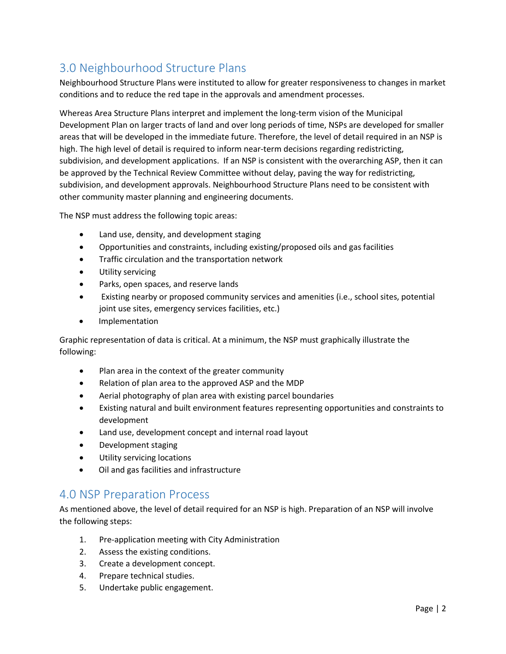# <span id="page-6-0"></span>3.0 Neighbourhood Structure Plans

Neighbourhood Structure Plans were instituted to allow for greater responsiveness to changes in market conditions and to reduce the red tape in the approvals and amendment processes.

Whereas Area Structure Plans interpret and implement the long-term vision of the Municipal Development Plan on larger tracts of land and over long periods of time, NSPs are developed for smaller areas that will be developed in the immediate future. Therefore, the level of detail required in an NSP is high. The high level of detail is required to inform near-term decisions regarding redistricting, subdivision, and development applications. If an NSP is consistent with the overarching ASP, then it can be approved by the Technical Review Committee without delay, paving the way for redistricting, subdivision, and development approvals. Neighbourhood Structure Plans need to be consistent with other community master planning and engineering documents.

The NSP must address the following topic areas:

- Land use, density, and development staging
- Opportunities and constraints, including existing/proposed oils and gas facilities
- Traffic circulation and the transportation network
- Utility servicing
- Parks, open spaces, and reserve lands
- Existing nearby or proposed community services and amenities (i.e., school sites, potential joint use sites, emergency services facilities, etc.)
- Implementation

Graphic representation of data is critical. At a minimum, the NSP must graphically illustrate the following:

- Plan area in the context of the greater community
- Relation of plan area to the approved ASP and the MDP
- Aerial photography of plan area with existing parcel boundaries
- Existing natural and built environment features representing opportunities and constraints to development
- Land use, development concept and internal road layout
- Development staging
- Utility servicing locations
- Oil and gas facilities and infrastructure

# <span id="page-6-1"></span>4.0 NSP Preparation Process

As mentioned above, the level of detail required for an NSP is high. Preparation of an NSP will involve the following steps:

- 1. Pre-application meeting with City Administration
- 2. Assess the existing conditions.
- 3. Create a development concept.
- 4. Prepare technical studies.
- 5. Undertake public engagement.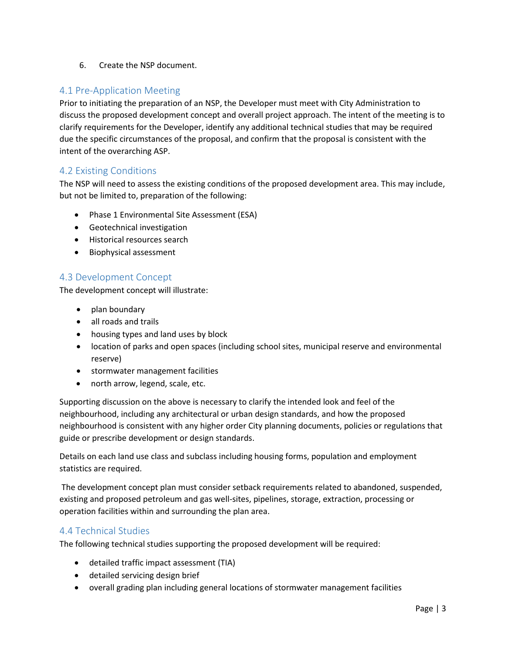6. Create the NSP document.

# <span id="page-7-0"></span>4.1 Pre-Application Meeting

Prior to initiating the preparation of an NSP, the Developer must meet with City Administration to discuss the proposed development concept and overall project approach. The intent of the meeting is to clarify requirements for the Developer, identify any additional technical studies that may be required due the specific circumstances of the proposal, and confirm that the proposal is consistent with the intent of the overarching ASP.

# <span id="page-7-1"></span>4.2 Existing Conditions

The NSP will need to assess the existing conditions of the proposed development area. This may include, but not be limited to, preparation of the following:

- Phase 1 Environmental Site Assessment (ESA)
- Geotechnical investigation
- Historical resources search
- Biophysical assessment

# <span id="page-7-2"></span>4.3 Development Concept

The development concept will illustrate:

- plan boundary
- all roads and trails
- housing types and land uses by block
- location of parks and open spaces (including school sites, municipal reserve and environmental reserve)
- stormwater management facilities
- north arrow, legend, scale, etc.

Supporting discussion on the above is necessary to clarify the intended look and feel of the neighbourhood, including any architectural or urban design standards, and how the proposed neighbourhood is consistent with any higher order City planning documents, policies or regulations that guide or prescribe development or design standards.

Details on each land use class and subclass including housing forms, population and employment statistics are required.

The development concept plan must consider setback requirements related to abandoned, suspended, existing and proposed petroleum and gas well-sites, pipelines, storage, extraction, processing or operation facilities within and surrounding the plan area.

## <span id="page-7-3"></span>4.4 Technical Studies

The following technical studies supporting the proposed development will be required:

- detailed traffic impact assessment (TIA)
- detailed servicing design brief
- overall grading plan including general locations of stormwater management facilities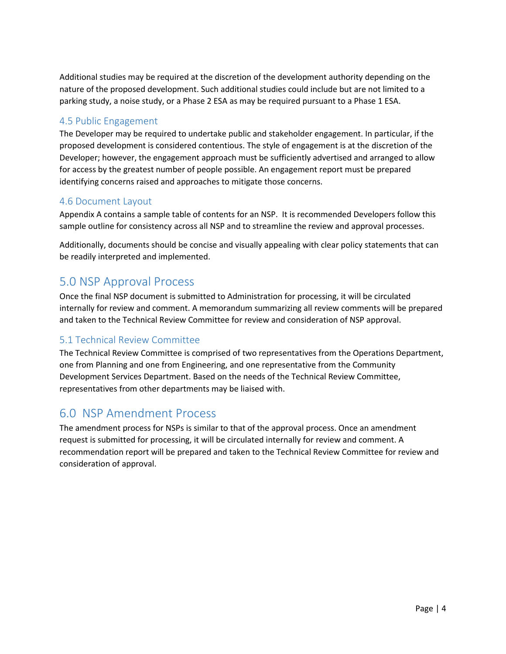Additional studies may be required at the discretion of the development authority depending on the nature of the proposed development. Such additional studies could include but are not limited to a parking study, a noise study, or a Phase 2 ESA as may be required pursuant to a Phase 1 ESA.

# <span id="page-8-0"></span>4.5 Public Engagement

The Developer may be required to undertake public and stakeholder engagement. In particular, if the proposed development is considered contentious. The style of engagement is at the discretion of the Developer; however, the engagement approach must be sufficiently advertised and arranged to allow for access by the greatest number of people possible. An engagement report must be prepared identifying concerns raised and approaches to mitigate those concerns.

## <span id="page-8-1"></span>4.6 Document Layout

Appendix A contains a sample table of contents for an NSP. It is recommended Developers follow this sample outline for consistency across all NSP and to streamline the review and approval processes.

Additionally, documents should be concise and visually appealing with clear policy statements that can be readily interpreted and implemented.

# <span id="page-8-2"></span>5.0 NSP Approval Process

Once the final NSP document is submitted to Administration for processing, it will be circulated internally for review and comment. A memorandum summarizing all review comments will be prepared and taken to the Technical Review Committee for review and consideration of NSP approval.

# <span id="page-8-3"></span>5.1 Technical Review Committee

The Technical Review Committee is comprised of two representatives from the Operations Department, one from Planning and one from Engineering, and one representative from the Community Development Services Department. Based on the needs of the Technical Review Committee, representatives from other departments may be liaised with.

# <span id="page-8-4"></span>6.0 NSP Amendment Process

The amendment process for NSPs is similar to that of the approval process. Once an amendment request is submitted for processing, it will be circulated internally for review and comment. A recommendation report will be prepared and taken to the Technical Review Committee for review and consideration of approval.